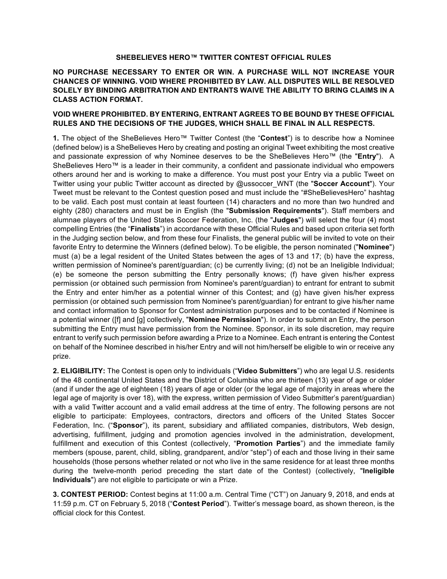## **SHEBELIEVES HERO™ TWITTER CONTEST OFFICIAL RULES**

## **NO PURCHASE NECESSARY TO ENTER OR WIN. A PURCHASE WILL NOT INCREASE YOUR CHANCES OF WINNING. VOID WHERE PROHIBITED BY LAW. ALL DISPUTES WILL BE RESOLVED SOLELY BY BINDING ARBITRATION AND ENTRANTS WAIVE THE ABILITY TO BRING CLAIMS IN A CLASS ACTION FORMAT.**

## **VOID WHERE PROHIBITED. BY ENTERING, ENTRANT AGREES TO BE BOUND BY THESE OFFICIAL RULES AND THE DECISIONS OF THE JUDGES, WHICH SHALL BE FINAL IN ALL RESPECTS.**

**1.** The object of the SheBelieves Hero™ Twitter Contest (the "**Contest**") is to describe how a Nominee (defined below) is a SheBelieves Hero by creating and posting an original Tweet exhibiting the most creative and passionate expression of why Nominee deserves to be the SheBelieves Hero™ (the "**Entry**"). A SheBelieves Hero™ is a leader in their community, a confident and passionate individual who empowers others around her and is working to make a difference. You must post your Entry via a public Tweet on Twitter using your public Twitter account as directed by @ussoccer\_WNT (the "**Soccer Account**"). Your Tweet must be relevant to the Contest question posed and must include the "#SheBelievesHero" hashtag to be valid. Each post must contain at least fourteen (14) characters and no more than two hundred and eighty (280) characters and must be in English (the "**Submission Requirements**"). Staff members and alumnae players of the United States Soccer Federation, Inc. (the "**Judges**") will select the four (4) most compelling Entries (the "**Finalists**") in accordance with these Official Rules and based upon criteria set forth in the Judging section below, and from these four Finalists, the general public will be invited to vote on their favorite Entry to determine the Winners (defined below). To be eligible, the person nominated ("**Nominee**") must (a) be a legal resident of the United States between the ages of 13 and 17; (b) have the express, written permission of Nominee's parent/guardian; (c) be currently living; (d) not be an Ineligible Individual; (e) be someone the person submitting the Entry personally knows; (f) have given his/her express permission (or obtained such permission from Nominee's parent/guardian) to entrant for entrant to submit the Entry and enter him/her as a potential winner of this Contest; and (g) have given his/her express permission (or obtained such permission from Nominee's parent/guardian) for entrant to give his/her name and contact information to Sponsor for Contest administration purposes and to be contacted if Nominee is a potential winner ([f] and [g] collectively, "**Nominee Permission**"). In order to submit an Entry, the person submitting the Entry must have permission from the Nominee. Sponsor, in its sole discretion, may require entrant to verify such permission before awarding a Prize to a Nominee. Each entrant is entering the Contest on behalf of the Nominee described in his/her Entry and will not him/herself be eligible to win or receive any prize.

**2. ELIGIBILITY:** The Contest is open only to individuals ("**Video Submitters**") who are legal U.S. residents of the 48 continental United States and the District of Columbia who are thirteen (13) year of age or older (and if under the age of eighteen (18) years of age or older (or the legal age of majority in areas where the legal age of majority is over 18), with the express, written permission of Video Submitter's parent/guardian) with a valid Twitter account and a valid email address at the time of entry. The following persons are not eligible to participate: Employees, contractors, directors and officers of the United States Soccer Federation, Inc. ("**Sponsor**"), its parent, subsidiary and affiliated companies, distributors, Web design, advertising, fulfillment, judging and promotion agencies involved in the administration, development, fulfillment and execution of this Contest (collectively, "**Promotion Parties**") and the immediate family members (spouse, parent, child, sibling, grandparent, and/or "step") of each and those living in their same households (those persons whether related or not who live in the same residence for at least three months during the twelve-month period preceding the start date of the Contest) (collectively, "**Ineligible Individuals**") are not eligible to participate or win a Prize.

**3. CONTEST PERIOD:** Contest begins at 11:00 a.m. Central Time ("CT") on January 9, 2018, and ends at 11:59 p.m. CT on February 5, 2018 ("**Contest Period**"). Twitter's message board, as shown thereon, is the official clock for this Contest.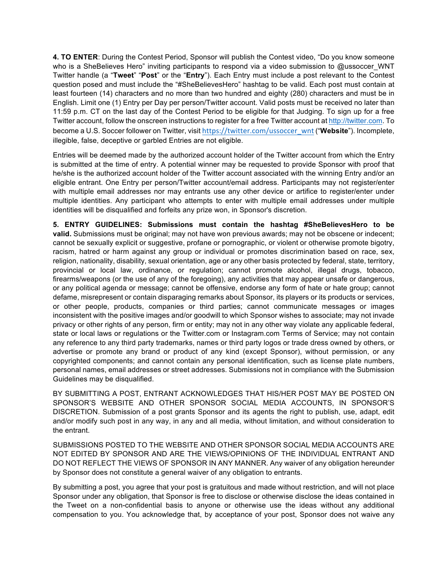**4. TO ENTER**: During the Contest Period, Sponsor will publish the Contest video, "Do you know someone who is a SheBelieves Hero" inviting participants to respond via a video submission to @ussoccer WNT Twitter handle (a "**Tweet**" "**Post**" or the "**Entry**"). Each Entry must include a post relevant to the Contest question posed and must include the "#SheBelievesHero" hashtag to be valid. Each post must contain at least fourteen (14) characters and no more than two hundred and eighty (280) characters and must be in English. Limit one (1) Entry per Day per person/Twitter account. Valid posts must be received no later than 11:59 p.m. CT on the last day of the Contest Period to be eligible for that Judging. To sign up for a free Twitter account, follow the onscreen instructions to register for a free Twitter account at http://twitter.com. To become a U.S. Soccer follower on Twitter, visit https://twitter.com/ussoccer\_wnt ("**Website**"). Incomplete, illegible, false, deceptive or garbled Entries are not eligible.

Entries will be deemed made by the authorized account holder of the Twitter account from which the Entry is submitted at the time of entry. A potential winner may be requested to provide Sponsor with proof that he/she is the authorized account holder of the Twitter account associated with the winning Entry and/or an eligible entrant. One Entry per person/Twitter account/email address. Participants may not register/enter with multiple email addresses nor may entrants use any other device or artifice to register/enter under multiple identities. Any participant who attempts to enter with multiple email addresses under multiple identities will be disqualified and forfeits any prize won, in Sponsor's discretion.

**5. ENTRY GUIDELINES: Submissions must contain the hashtag #SheBelievesHero to be valid.** Submissions must be original; may not have won previous awards; may not be obscene or indecent; cannot be sexually explicit or suggestive, profane or pornographic, or violent or otherwise promote bigotry, racism, hatred or harm against any group or individual or promotes discrimination based on race, sex, religion, nationality, disability, sexual orientation, age or any other basis protected by federal, state, territory, provincial or local law, ordinance, or regulation; cannot promote alcohol, illegal drugs, tobacco, firearms/weapons (or the use of any of the foregoing), any activities that may appear unsafe or dangerous, or any political agenda or message; cannot be offensive, endorse any form of hate or hate group; cannot defame, misrepresent or contain disparaging remarks about Sponsor, its players or its products or services, or other people, products, companies or third parties; cannot communicate messages or images inconsistent with the positive images and/or goodwill to which Sponsor wishes to associate; may not invade privacy or other rights of any person, firm or entity; may not in any other way violate any applicable federal, state or local laws or regulations or the Twitter.com or Instagram.com Terms of Service; may not contain any reference to any third party trademarks, names or third party logos or trade dress owned by others, or advertise or promote any brand or product of any kind (except Sponsor), without permission, or any copyrighted components; and cannot contain any personal identification, such as license plate numbers, personal names, email addresses or street addresses. Submissions not in compliance with the Submission Guidelines may be disqualified.

BY SUBMITTING A POST, ENTRANT ACKNOWLEDGES THAT HIS/HER POST MAY BE POSTED ON SPONSOR'S WEBSITE AND OTHER SPONSOR SOCIAL MEDIA ACCOUNTS, IN SPONSOR'S DISCRETION. Submission of a post grants Sponsor and its agents the right to publish, use, adapt, edit and/or modify such post in any way, in any and all media, without limitation, and without consideration to the entrant.

SUBMISSIONS POSTED TO THE WEBSITE AND OTHER SPONSOR SOCIAL MEDIA ACCOUNTS ARE NOT EDITED BY SPONSOR AND ARE THE VIEWS/OPINIONS OF THE INDIVIDUAL ENTRANT AND DO NOT REFLECT THE VIEWS OF SPONSOR IN ANY MANNER. Any waiver of any obligation hereunder by Sponsor does not constitute a general waiver of any obligation to entrants.

By submitting a post, you agree that your post is gratuitous and made without restriction, and will not place Sponsor under any obligation, that Sponsor is free to disclose or otherwise disclose the ideas contained in the Tweet on a non-confidential basis to anyone or otherwise use the ideas without any additional compensation to you. You acknowledge that, by acceptance of your post, Sponsor does not waive any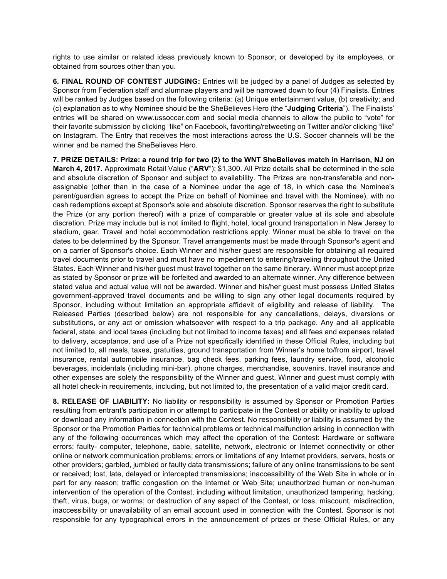rights to use similar or related ideas previously known to Sponsor, or developed by its employees, or obtained from sources other than you.

**6. FINAL ROUND OF CONTEST JUDGING:** Entries will be judged by a panel of Judges as selected by Sponsor from Federation staff and alumnae players and will be narrowed down to four (4) Finalists. Entries will be ranked by Judges based on the following criteria: (a) Unique entertainment value, (b) creativity; and (c) explanation as to why Nominee should be the SheBelieves Hero (the "**Judging Criteria**"). The Finalists' entries will be shared on www.ussoccer.com and social media channels to allow the public to "vote" for their favorite submission by clicking "like" on Facebook, favoriting/retweeting on Twitter and/or clicking "like" on Instagram. The Entry that receives the most interactions across the U.S. Soccer channels will be the winner and be named the SheBelieves Hero.

**7. PRIZE DETAILS: Prize: a round trip for two (2) to the WNT SheBelieves match in Harrison, NJ on March 4, 2017.** Approximate Retail Value ("**ARV**"): \$1,300. All Prize details shall be determined in the sole and absolute discretion of Sponsor and subject to availability. The Prizes are non-transferable and nonassignable (other than in the case of a Nominee under the age of 18, in which case the Nominee's parent/guardian agrees to accept the Prize on behalf of Nominee and travel with the Nominee), with no cash redemptions except at Sponsor's sole and absolute discretion. Sponsor reserves the right to substitute the Prize (or any portion thereof) with a prize of comparable or greater value at its sole and absolute discretion. Prize may include but is not limited to flight, hotel, local ground transportation in New Jersey to stadium, gear. Travel and hotel accommodation restrictions apply. Winner must be able to travel on the dates to be determined by the Sponsor. Travel arrangements must be made through Sponsor's agent and on a carrier of Sponsor's choice. Each Winner and his/her guest are responsible for obtaining all required travel documents prior to travel and must have no impediment to entering/traveling throughout the United States. Each Winner and his/her guest must travel together on the same itinerary. Winner must accept prize as stated by Sponsor or prize will be forfeited and awarded to an alternate winner. Any difference between stated value and actual value will not be awarded. Winner and his/her guest must possess United States government-approved travel documents and be willing to sign any other legal documents required by Sponsor, including without limitation an appropriate affidavit of eligibility and release of liability. The Released Parties (described below) are not responsible for any cancellations, delays, diversions or substitutions, or any act or omission whatsoever with respect to a trip package. Any and all applicable federal, state, and local taxes (including but not limited to income taxes) and all fees and expenses related to delivery, acceptance, and use of a Prize not specifically identified in these Official Rules, including but not limited to, all meals, taxes, gratuities, ground transportation from Winner's home to/from airport, travel insurance, rental automobile insurance, bag check fees, parking fees, laundry service, food, alcoholic beverages, incidentals (including mini-bar), phone charges, merchandise, souvenirs, travel insurance and other expenses are solely the responsibility of the Winner and guest. Winner and guest must comply with all hotel check-in requirements, including, but not limited to, the presentation of a valid major credit card.

**8. RELEASE OF LIABILITY:** No liability or responsibility is assumed by Sponsor or Promotion Parties resulting from entrant's participation in or attempt to participate in the Contest or ability or inability to upload or download any information in connection with the Contest. No responsibility or liability is assumed by the Sponsor or the Promotion Parties for technical problems or technical malfunction arising in connection with any of the following occurrences which may affect the operation of the Contest: Hardware or software errors; faulty- computer, telephone, cable, satellite, network, electronic or Internet connectivity or other online or network communication problems; errors or limitations of any Internet providers, servers, hosts or other providers; garbled, jumbled or faulty data transmissions; failure of any online transmissions to be sent or received; lost, late, delayed or intercepted transmissions; inaccessibility of the Web Site in whole or in part for any reason; traffic congestion on the Internet or Web Site; unauthorized human or non-human intervention of the operation of the Contest, including without limitation, unauthorized tampering, hacking, theft, virus, bugs, or worms; or destruction of any aspect of the Contest, or loss, miscount, misdirection, inaccessibility or unavailability of an email account used in connection with the Contest. Sponsor is not responsible for any typographical errors in the announcement of prizes or these Official Rules, or any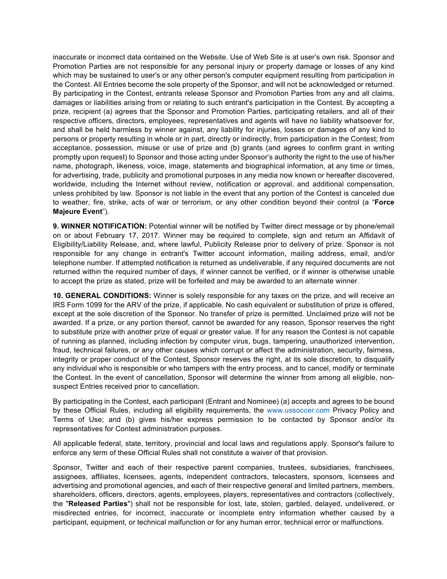inaccurate or incorrect data contained on the Website. Use of Web Site is at user's own risk. Sponsor and Promotion Parties are not responsible for any personal injury or property damage or losses of any kind which may be sustained to user's or any other person's computer equipment resulting from participation in the Contest. All Entries become the sole property of the Sponsor, and will not be acknowledged or returned. By participating in the Contest, entrants release Sponsor and Promotion Parties from any and all claims, damages or liabilities arising from or relating to such entrant's participation in the Contest. By accepting a prize, recipient (a) agrees that the Sponsor and Promotion Parties, participating retailers, and all of their respective officers, directors, employees, representatives and agents will have no liability whatsoever for, and shall be held harmless by winner against, any liability for injuries, losses or damages of any kind to persons or property resulting in whole or in part, directly or indirectly, from participation in the Contest; from acceptance, possession, misuse or use of prize and (b) grants (and agrees to confirm grant in writing promptly upon request) to Sponsor and those acting under Sponsor's authority the right to the use of his/her name, photograph, likeness, voice, image, statements and biographical information, at any time or times, for advertising, trade, publicity and promotional purposes in any media now known or hereafter discovered, worldwide, including the Internet without review, notification or approval, and additional compensation, unless prohibited by law. Sponsor is not liable in the event that any portion of the Contest is canceled due to weather, fire, strike, acts of war or terrorism, or any other condition beyond their control (a "**Force Majeure Event**").

**9. WINNER NOTIFICATION:** Potential winner will be notified by Twitter direct message or by phone/email on or about February 17, 2017. Winner may be required to complete, sign and return an Affidavit of Eligibility/Liability Release, and, where lawful, Publicity Release prior to delivery of prize. Sponsor is not responsible for any change in entrant's Twitter account information, mailing address, email, and/or telephone number. If attempted notification is returned as undeliverable, if any required documents are not returned within the required number of days, if winner cannot be verified, or if winner is otherwise unable to accept the prize as stated, prize will be forfeited and may be awarded to an alternate winner.

**10. GENERAL CONDITIONS:** Winner is solely responsible for any taxes on the prize, and will receive an IRS Form 1099 for the ARV of the prize, if applicable. No cash equivalent or substitution of prize is offered, except at the sole discretion of the Sponsor. No transfer of prize is permitted. Unclaimed prize will not be awarded. If a prize, or any portion thereof, cannot be awarded for any reason, Sponsor reserves the right to substitute prize with another prize of equal or greater value. If for any reason the Contest is not capable of running as planned, including infection by computer virus, bugs, tampering, unauthorized intervention, fraud, technical failures, or any other causes which corrupt or affect the administration, security, fairness, integrity or proper conduct of the Contest, Sponsor reserves the right, at its sole discretion, to disqualify any individual who is responsible or who tampers with the entry process, and to cancel, modify or terminate the Contest. In the event of cancellation, Sponsor will determine the winner from among all eligible, nonsuspect Entries received prior to cancellation.

By participating in the Contest, each participant (Entrant and Nominee) (a) accepts and agrees to be bound by these Official Rules, including all eligibility requirements, the www.ussoccer.com Privacy Policy and Terms of Use; and (b) gives his/her express permission to be contacted by Sponsor and/or its representatives for Contest administration purposes.

All applicable federal, state, territory, provincial and local laws and regulations apply. Sponsor's failure to enforce any term of these Official Rules shall not constitute a waiver of that provision.

Sponsor, Twitter and each of their respective parent companies, trustees, subsidiaries, franchisees, assignees, affiliates, licensees, agents, independent contractors, telecasters, sponsors, licensees and advertising and promotional agencies, and each of their respective general and limited partners, members, shareholders, officers, directors, agents, employees, players, representatives and contractors (collectively, the "**Released Parties**") shall not be responsible for lost, late, stolen, garbled, delayed, undelivered, or misdirected entries, for incorrect, inaccurate or incomplete entry information whether caused by a participant, equipment, or technical malfunction or for any human error, technical error or malfunctions.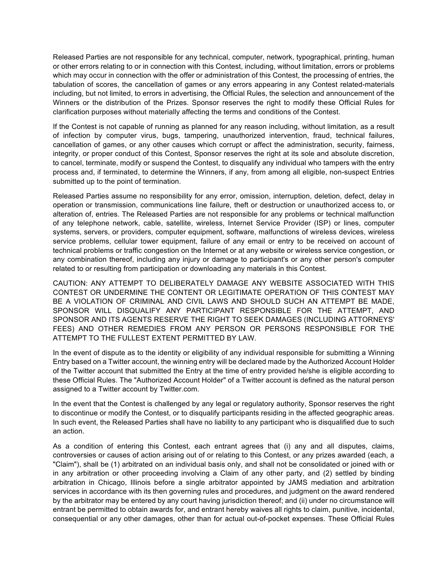Released Parties are not responsible for any technical, computer, network, typographical, printing, human or other errors relating to or in connection with this Contest, including, without limitation, errors or problems which may occur in connection with the offer or administration of this Contest, the processing of entries, the tabulation of scores, the cancellation of games or any errors appearing in any Contest related-materials including, but not limited, to errors in advertising, the Official Rules, the selection and announcement of the Winners or the distribution of the Prizes. Sponsor reserves the right to modify these Official Rules for clarification purposes without materially affecting the terms and conditions of the Contest.

If the Contest is not capable of running as planned for any reason including, without limitation, as a result of infection by computer virus, bugs, tampering, unauthorized intervention, fraud, technical failures, cancellation of games, or any other causes which corrupt or affect the administration, security, fairness, integrity, or proper conduct of this Contest, Sponsor reserves the right at its sole and absolute discretion, to cancel, terminate, modify or suspend the Contest, to disqualify any individual who tampers with the entry process and, if terminated, to determine the Winners, if any, from among all eligible, non-suspect Entries submitted up to the point of termination.

Released Parties assume no responsibility for any error, omission, interruption, deletion, defect, delay in operation or transmission, communications line failure, theft or destruction or unauthorized access to, or alteration of, entries. The Released Parties are not responsible for any problems or technical malfunction of any telephone network, cable, satellite, wireless, Internet Service Provider (ISP) or lines, computer systems, servers, or providers, computer equipment, software, malfunctions of wireless devices, wireless service problems, cellular tower equipment, failure of any email or entry to be received on account of technical problems or traffic congestion on the Internet or at any website or wireless service congestion, or any combination thereof, including any injury or damage to participant's or any other person's computer related to or resulting from participation or downloading any materials in this Contest.

CAUTION: ANY ATTEMPT TO DELIBERATELY DAMAGE ANY WEBSITE ASSOCIATED WITH THIS CONTEST OR UNDERMINE THE CONTENT OR LEGITIMATE OPERATION OF THIS CONTEST MAY BE A VIOLATION OF CRIMINAL AND CIVIL LAWS AND SHOULD SUCH AN ATTEMPT BE MADE, SPONSOR WILL DISQUALIFY ANY PARTICIPANT RESPONSIBLE FOR THE ATTEMPT, AND SPONSOR AND ITS AGENTS RESERVE THE RIGHT TO SEEK DAMAGES (INCLUDING ATTORNEYS' FEES) AND OTHER REMEDIES FROM ANY PERSON OR PERSONS RESPONSIBLE FOR THE ATTEMPT TO THE FULLEST EXTENT PERMITTED BY LAW.

In the event of dispute as to the identity or eligibility of any individual responsible for submitting a Winning Entry based on a Twitter account, the winning entry will be declared made by the Authorized Account Holder of the Twitter account that submitted the Entry at the time of entry provided he/she is eligible according to these Official Rules. The "Authorized Account Holder" of a Twitter account is defined as the natural person assigned to a Twitter account by Twitter.com.

In the event that the Contest is challenged by any legal or regulatory authority, Sponsor reserves the right to discontinue or modify the Contest, or to disqualify participants residing in the affected geographic areas. In such event, the Released Parties shall have no liability to any participant who is disqualified due to such an action.

As a condition of entering this Contest, each entrant agrees that (i) any and all disputes, claims, controversies or causes of action arising out of or relating to this Contest, or any prizes awarded (each, a "Claim"), shall be (1) arbitrated on an individual basis only, and shall not be consolidated or joined with or in any arbitration or other proceeding involving a Claim of any other party, and (2) settled by binding arbitration in Chicago, Illinois before a single arbitrator appointed by JAMS mediation and arbitration services in accordance with its then governing rules and procedures, and judgment on the award rendered by the arbitrator may be entered by any court having jurisdiction thereof; and (ii) under no circumstance will entrant be permitted to obtain awards for, and entrant hereby waives all rights to claim, punitive, incidental, consequential or any other damages, other than for actual out-of-pocket expenses. These Official Rules